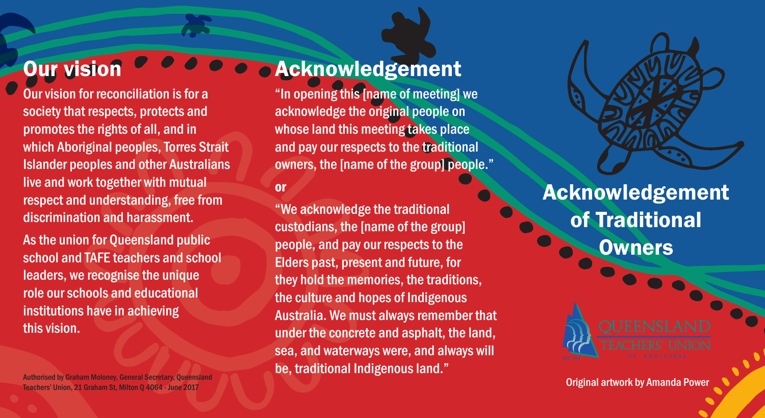## **Our vision**

Our vision for reconciliation is for a society that respects, protects and promotes the rights of all, and in which Aboriginal peoples, Torres Strait Islander peoples and other Australians live and work together with mutual respect and understanding, free from discrimination and harassment.

As the union for Queensland public school and TAFE teachers and school leaders, we recognise the unique role our schools and educational institutions have in achieving this vision.

Authorised by Graham Moloney, General Secretary, Queensland **Authorities and Amanda Power Authorised by Amanda Power Authorised by Graham Moloney, General Secretary, Queensland <b>Amanda Power Authorised by Amanda Power Auth** 

### Acknowledgement

"In opening this [name of meeting] we acknowledge the original people on whose land this meeting takes place and pay our respects to the traditional owners, the [name of the group] people."

### or

"We acknowledge the traditional custodians, the [name of the group] people, and pay our respects to the Elders past, present and future, for they hold the memories, the traditions, the culture and hopes of Indigenous Australia. We must always remember that under the concrete and asphalt, the land, sea, and waterways were, and always will be, traditional Indigenous land."

Acknowledgement of Traditional **Owners**